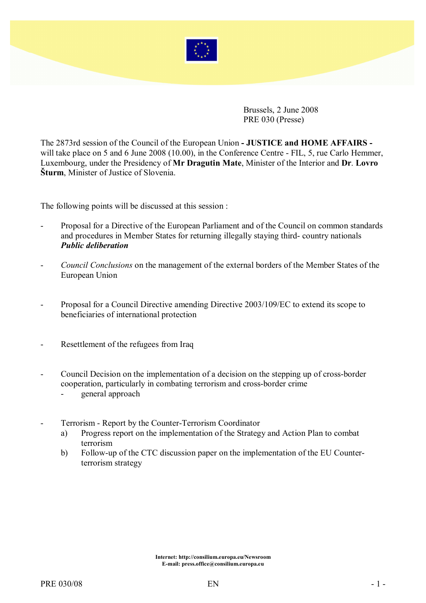

Brussels, 2 June 2008 PRE 030 (Presse)

The 2873rd session of the Council of the European Union - JUSTICE and HOME AFFAIRS will take place on 5 and 6 June 2008 (10.00), in the Conference Centre - FIL, 5, rue Carlo Hemmer, Luxembourg, under the Presidency of Mr Dragutin Mate, Minister of the Interior and Dr. Lovro Šturm, Minister of Justice of Slovenia.

The following points will be discussed at this session :

- Proposal for a Directive of the European Parliament and of the Council on common standards and procedures in Member States for returning illegally staying third- country nationals Public deliberation
- Council Conclusions on the management of the external borders of the Member States of the European Union
- Proposal for a Council Directive amending Directive 2003/109/EC to extend its scope to beneficiaries of international protection
- Resettlement of the refugees from Iraq
- Council Decision on the implementation of a decision on the stepping up of cross-border cooperation, particularly in combating terrorism and cross-border crime
	- general approach
- Terrorism Report by the Counter-Terrorism Coordinator
	- a) Progress report on the implementation of the Strategy and Action Plan to combat terrorism
	- b) Follow-up of the CTC discussion paper on the implementation of the EU Counterterrorism strategy

Internet: http://consilium.europa.eu/Newsroom E-mail: press.office@consilium.europa.eu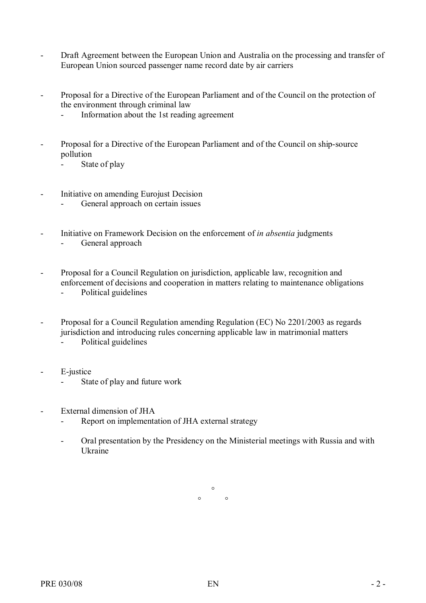- Draft Agreement between the European Union and Australia on the processing and transfer of European Union sourced passenger name record date by air carriers
- Proposal for a Directive of the European Parliament and of the Council on the protection of the environment through criminal law
	- Information about the 1st reading agreement
- Proposal for a Directive of the European Parliament and of the Council on ship-source pollution
	- State of play
- Initiative on amending Eurojust Decision
	- General approach on certain issues
- Initiative on Framework Decision on the enforcement of *in absentia* judgments - General approach
- Proposal for a Council Regulation on jurisdiction, applicable law, recognition and enforcement of decisions and cooperation in matters relating to maintenance obligations
	- Political guidelines
- Proposal for a Council Regulation amending Regulation (EC) No 2201/2003 as regards jurisdiction and introducing rules concerning applicable law in matrimonial matters
	- Political guidelines
- E-justice
	- State of play and future work
- External dimension of JHA
	- Report on implementation of JHA external strategy
	- Oral presentation by the Presidency on the Ministerial meetings with Russia and with Ukraine

 $\circ$  $\circ$   $\circ$